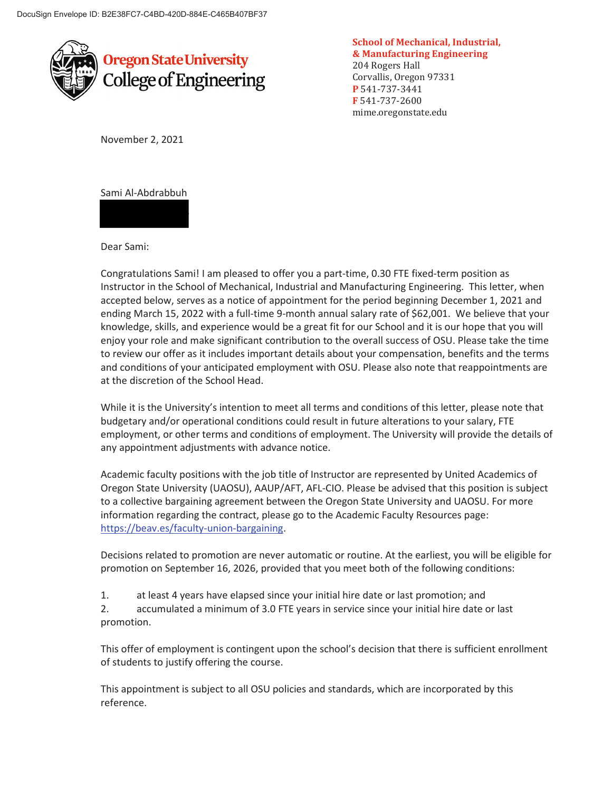

**School of Mechanical, Industrial, & Manufacturing Engineering**  204 Rogers Hall Corvallis, Oregon 97331 **P** 541-737-3441 **F** 541-737-2600 mime.oregonstate.edu

November 2, 2021

Sami Al-Abdrabbuh

Dear Sami:

Congratulations Sami! I am pleased to offer you a part-time, 0.30 FTE fixed-term position as Instructor in the School of Mechanical, Industrial and Manufacturing Engineering. This letter, when accepted below, serves as a notice of appointment for the period beginning December 1, 2021 and ending March 15, 2022 with a full-time 9-month annual salary rate of \$62,001. We believe that your knowledge, skills, and experience would be a great fit for our School and it is our hope that you will enjoy your role and make significant contribution to the overall success of OSU. Please take the time to review our offer as it includes important details about your compensation, benefits and the terms and conditions of your anticipated employment with OSU. Please also note that reappointments are at the discretion of the School Head.

While it is the University's intention to meet all terms and conditions of this letter, please note that budgetary and/or operational conditions could result in future alterations to your salary, FTE employment, or other terms and conditions of employment. The University will provide the details of any appointment adjustments with advance notice.

Academic faculty positions with the job title of Instructor are represented by United Academics of Oregon State University (UAOSU), AAUP/AFT, AFL-CIO. Please be advised that this position is subject to a collective bargaining agreement between the Oregon State University and UAOSU. For more information regarding the contract, please go to the Academic Faculty Resources page: https://beav.es/faculty-union-bargaining.

Decisions related to promotion are never automatic or routine. At the earliest, you will be eligible for promotion on September 16, 2026, provided that you meet both of the following conditions:

1. at least 4 years have elapsed since your initial hire date or last promotion; and

2. accumulated a minimum of 3.0 FTE years in service since your initial hire date or last promotion.

This offer of employment is contingent upon the school's decision that there is sufficient enrollment of students to justify offering the course.

This appointment is subject to all OSU policies and standards, which are incorporated by this reference.